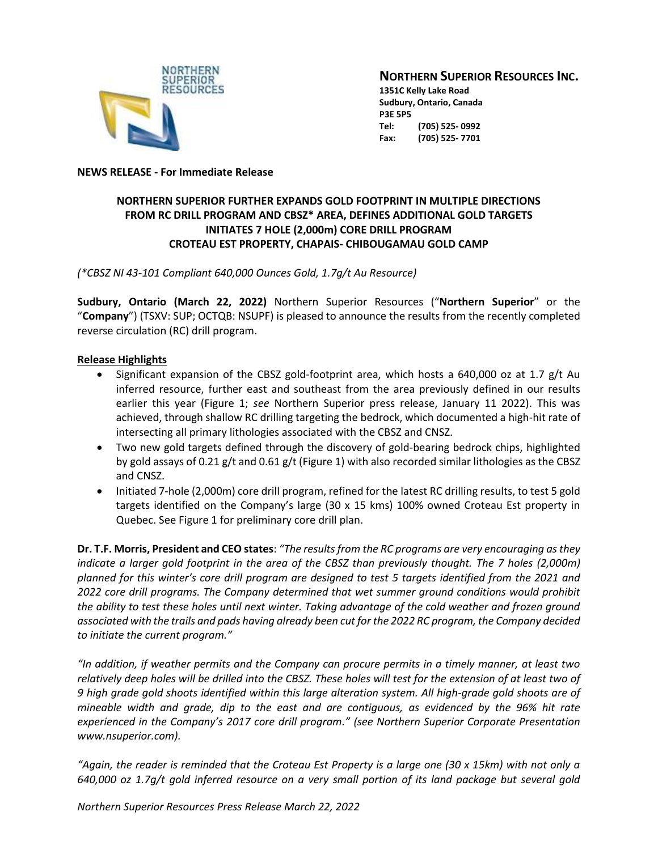

**NORTHERN SUPERIOR RESOURCES INC.**

**1351C Kelly Lake Road Sudbury, Ontario, Canada P3E 5P5 Tel: (705) 525- 0992 Fax: (705) 525- 7701**

**NEWS RELEASE - For Immediate Release**

# **NORTHERN SUPERIOR FURTHER EXPANDS GOLD FOOTPRINT IN MULTIPLE DIRECTIONS FROM RC DRILL PROGRAM AND CBSZ\* AREA, DEFINES ADDITIONAL GOLD TARGETS INITIATES 7 HOLE (2,000m) CORE DRILL PROGRAM CROTEAU EST PROPERTY, CHAPAIS- CHIBOUGAMAU GOLD CAMP**

*(\*CBSZ NI 43-101 Compliant 640,000 Ounces Gold, 1.7g/t Au Resource)*

**Sudbury, Ontario (March 22, 2022)** Northern Superior Resources ("**Northern Superior**" or the "**Company**") (TSXV: SUP; OCTQB: NSUPF) is pleased to announce the results from the recently completed reverse circulation (RC) drill program.

## **Release Highlights**

- Significant expansion of the CBSZ gold-footprint area, which hosts a 640,000 oz at 1.7 g/t Au inferred resource, further east and southeast from the area previously defined in our results earlier this year (Figure 1; *see* Northern Superior press release, January 11 2022). This was achieved, through shallow RC drilling targeting the bedrock, which documented a high-hit rate of intersecting all primary lithologies associated with the CBSZ and CNSZ.
- Two new gold targets defined through the discovery of gold-bearing bedrock chips, highlighted by gold assays of 0.21 g/t and 0.61 g/t (Figure 1) with also recorded similar lithologies as the CBSZ and CNSZ.
- Initiated 7-hole (2,000m) core drill program, refined for the latest RC drilling results, to test 5 gold targets identified on the Company's large (30 x 15 kms) 100% owned Croteau Est property in Quebec. See Figure 1 for preliminary core drill plan.

**Dr. T.F. Morris, President and CEO states**: *"The results from the RC programs are very encouraging as they indicate a larger gold footprint in the area of the CBSZ than previously thought. The 7 holes (2,000m) planned for this winter's core drill program are designed to test 5 targets identified from the 2021 and 2022 core drill programs. The Company determined that wet summer ground conditions would prohibit the ability to test these holes until next winter. Taking advantage of the cold weather and frozen ground associated with the trails and pads having already been cut for the 2022 RC program, the Company decided to initiate the current program."*

*"In addition, if weather permits and the Company can procure permits in a timely manner, at least two relatively deep holes will be drilled into the CBSZ. These holes will test for the extension of at least two of 9 high grade gold shoots identified within this large alteration system. All high-grade gold shoots are of mineable width and grade, dip to the east and are contiguous, as evidenced by the 96% hit rate experienced in the Company's 2017 core drill program." (see Northern Superior Corporate Presentation www.nsuperior.com).*

*"Again, the reader is reminded that the Croteau Est Property is a large one (30 x 15km) with not only a 640,000 oz 1.7g/t gold inferred resource on a very small portion of its land package but several gold*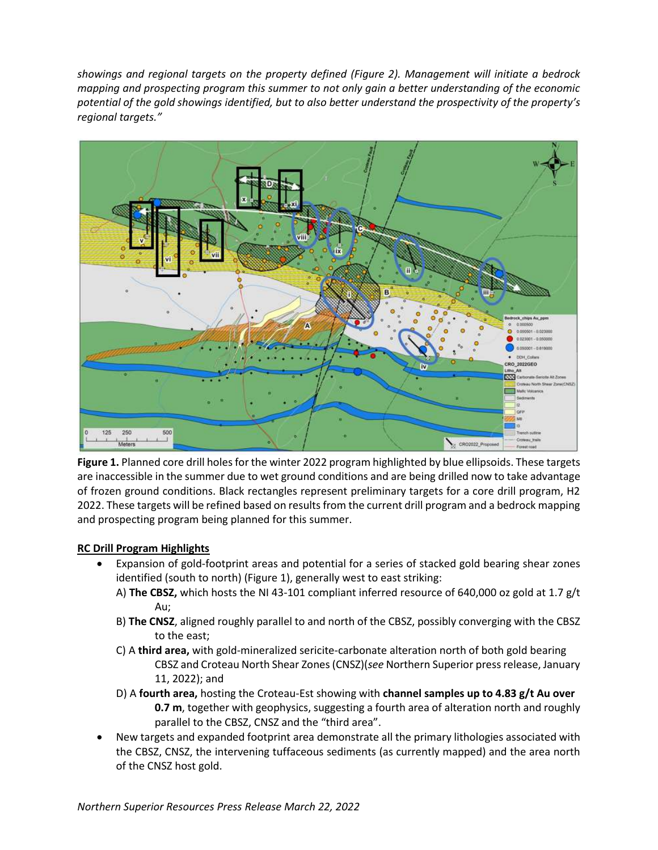*showings and regional targets on the property defined (Figure 2). Management will initiate a bedrock mapping and prospecting program this summer to not only gain a better understanding of the economic potential of the gold showings identified, but to also better understand the prospectivity of the property's regional targets."*



**Figure 1.** Planned core drill holes for the winter 2022 program highlighted by blue ellipsoids. These targets are inaccessible in the summer due to wet ground conditions and are being drilled now to take advantage of frozen ground conditions. Black rectangles represent preliminary targets for a core drill program, H2 2022. These targets will be refined based on results from the current drill program and a bedrock mapping and prospecting program being planned for this summer.

# **RC Drill Program Highlights**

- Expansion of gold-footprint areas and potential for a series of stacked gold bearing shear zones identified (south to north) (Figure 1), generally west to east striking:
	- A) **The CBSZ,** which hosts the NI 43-101 compliant inferred resource of 640,000 oz gold at 1.7 g/t Au;
	- B) **The CNSZ**, aligned roughly parallel to and north of the CBSZ, possibly converging with the CBSZ to the east;
	- C) A **third area,** with gold-mineralized sericite-carbonate alteration north of both gold bearing CBSZ and Croteau North Shear Zones (CNSZ)(*see* Northern Superior press release, January 11, 2022); and
	- D) A **fourth area,** hosting the Croteau-Est showing with **channel samples up to 4.83 g/t Au over 0.7 m**, together with geophysics, suggesting a fourth area of alteration north and roughly parallel to the CBSZ, CNSZ and the "third area".
- New targets and expanded footprint area demonstrate all the primary lithologies associated with the CBSZ, CNSZ, the intervening tuffaceous sediments (as currently mapped) and the area north of the CNSZ host gold.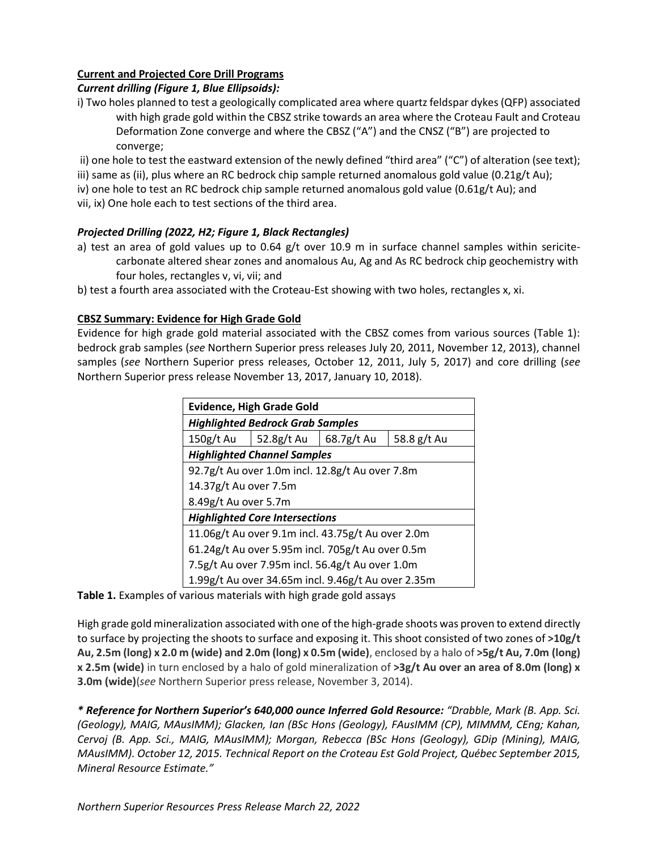# **Current and Projected Core Drill Programs**

# *Current drilling (Figure 1, Blue Ellipsoids):*

i) Two holes planned to test a geologically complicated area where quartz feldspar dykes (QFP) associated with high grade gold within the CBSZ strike towards an area where the Croteau Fault and Croteau Deformation Zone converge and where the CBSZ ("A") and the CNSZ ("B") are projected to converge;

ii) one hole to test the eastward extension of the newly defined "third area" ("C") of alteration (see text); iii) same as (ii), plus where an RC bedrock chip sample returned anomalous gold value (0.21g/t Au); iv) one hole to test an RC bedrock chip sample returned anomalous gold value (0.61g/t Au); and vii, ix) One hole each to test sections of the third area.

# *Projected Drilling (2022, H2; Figure 1, Black Rectangles)*

- a) test an area of gold values up to 0.64 g/t over 10.9 m in surface channel samples within sericitecarbonate altered shear zones and anomalous Au, Ag and As RC bedrock chip geochemistry with four holes, rectangles v, vi, vii; and
- b) test a fourth area associated with the Croteau-Est showing with two holes, rectangles x, xi.

## **CBSZ Summary: Evidence for High Grade Gold**

Evidence for high grade gold material associated with the CBSZ comes from various sources (Table 1): bedrock grab samples (*see* Northern Superior press releases July 20, 2011, November 12, 2013), channel samples (*see* Northern Superior press releases, October 12, 2011, July 5, 2017) and core drilling (*see* Northern Superior press release November 13, 2017, January 10, 2018).

| <b>Evidence, High Grade Gold</b>                   |                         |  |             |
|----------------------------------------------------|-------------------------|--|-------------|
| <b>Highlighted Bedrock Grab Samples</b>            |                         |  |             |
| $150g/t$ Au                                        | 52.8g/t Au   68.7g/t Au |  | 58.8 g/t Au |
| <b>Highlighted Channel Samples</b>                 |                         |  |             |
| 92.7g/t Au over 1.0m incl. 12.8g/t Au over 7.8m    |                         |  |             |
| 14.37g/t Au over 7.5m                              |                         |  |             |
| 8.49g/t Au over 5.7m                               |                         |  |             |
| <b>Highlighted Core Intersections</b>              |                         |  |             |
| 11.06g/t Au over 9.1m incl. 43.75g/t Au over 2.0m  |                         |  |             |
| 61.24g/t Au over 5.95m incl. 705g/t Au over 0.5m   |                         |  |             |
| 7.5g/t Au over 7.95m incl. 56.4g/t Au over 1.0m    |                         |  |             |
| 1.99g/t Au over 34.65m incl. 9.46g/t Au over 2.35m |                         |  |             |

**Table 1.** Examples of various materials with high grade gold assays

High grade gold mineralization associated with one of the high-grade shoots was proven to extend directly to surface by projecting the shoots to surface and exposing it. This shoot consisted of two zones of **>10g/t Au, 2.5m (long) x 2.0 m (wide) and 2.0m (long) x 0.5m (wide)**, enclosed by a halo of **>5g/t Au, 7.0m (long) x 2.5m (wide)** in turn enclosed by a halo of gold mineralization of **>3g/t Au over an area of 8.0m (long) x 3.0m (wide)**(*see* Northern Superior press release, November 3, 2014).

*\* Reference for Northern Superior's 640,000 ounce Inferred Gold Resource: "Drabble, Mark (B. App. Sci. (Geology), MAIG, MAusIMM); Glacken, Ian (BSc Hons (Geology), FAusIMM (CP), MIMMM, CEng; Kahan, Cervoj (B. App. Sci., MAIG, MAusIMM); Morgan, Rebecca (BSc Hons (Geology), GDip (Mining), MAIG, MAusIMM). October 12, 2015. Technical Report on the Croteau Est Gold Project, Québec September 2015, Mineral Resource Estimate."*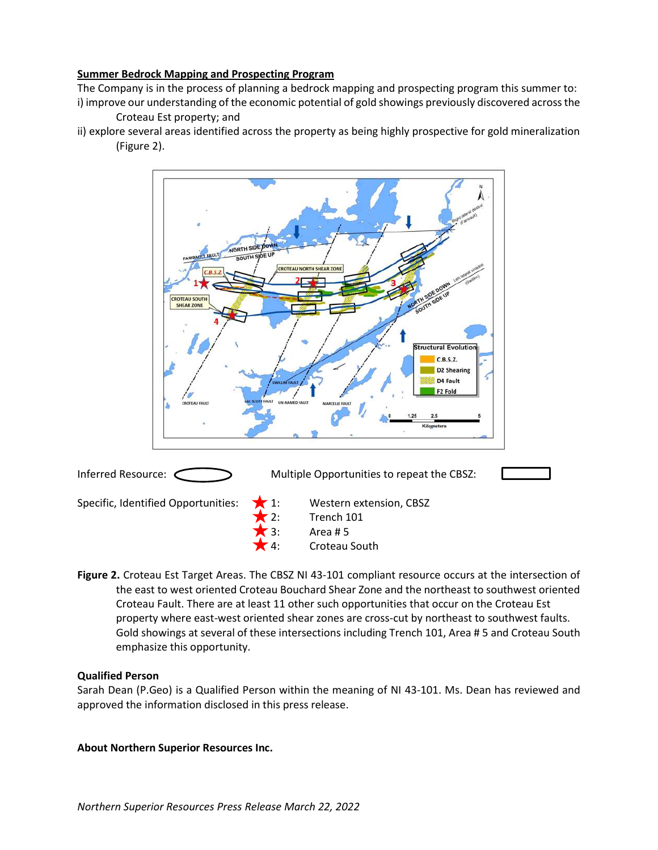## **Summer Bedrock Mapping and Prospecting Program**

The Company is in the process of planning a bedrock mapping and prospecting program this summer to: i) improve our understanding of the economic potential of gold showings previously discovered across the

- Croteau Est property; and
- ii) explore several areas identified across the property as being highly prospective for gold mineralization (Figure 2).



Specific, Identified Opportunities:  $\sqrt{\phantom{a}} 1$ : Western extension, CBSZ



Trench 101

Area # 5

- Croteau South
- **Figure 2.** Croteau Est Target Areas. The CBSZ NI 43-101 compliant resource occurs at the intersection of the east to west oriented Croteau Bouchard Shear Zone and the northeast to southwest oriented Croteau Fault. There are at least 11 other such opportunities that occur on the Croteau Est property where east-west oriented shear zones are cross-cut by northeast to southwest faults. Gold showings at several of these intersections including Trench 101, Area # 5 and Croteau South emphasize this opportunity.

## **Qualified Person**

Sarah Dean (P.Geo) is a Qualified Person within the meaning of NI 43-101. Ms. Dean has reviewed and approved the information disclosed in this press release.

#### **About Northern Superior Resources Inc.**